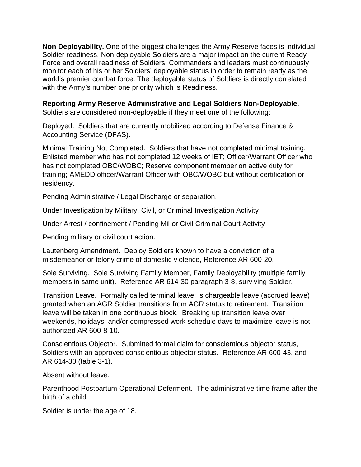**Non Deployability.** One of the biggest challenges the Army Reserve faces is individual Soldier readiness. Non-deployable Soldiers are a major impact on the current Ready Force and overall readiness of Soldiers. Commanders and leaders must continuously monitor each of his or her Soldiers' deployable status in order to remain ready as the world's premier combat force. The deployable status of Soldiers is directly correlated with the Army's number one priority which is Readiness.

## **Reporting Army Reserve Administrative and Legal Soldiers Non-Deployable.**

Soldiers are considered non-deployable if they meet one of the following:

Deployed. Soldiers that are currently mobilized according to Defense Finance & Accounting Service (DFAS).

Minimal Training Not Completed. Soldiers that have not completed minimal training. Enlisted member who has not completed 12 weeks of IET; Officer/Warrant Officer who has not completed OBC/WOBC; Reserve component member on active duty for training; AMEDD officer/Warrant Officer with OBC/WOBC but without certification or residency.

Pending Administrative / Legal Discharge or separation.

Under Investigation by Military, Civil, or Criminal Investigation Activity

Under Arrest / confinement / Pending Mil or Civil Criminal Court Activity

Pending military or civil court action.

Lautenberg Amendment. Deploy Soldiers known to have a conviction of a misdemeanor or felony crime of domestic violence, Reference AR 600-20.

Sole Surviving. Sole Surviving Family Member, Family Deployability (multiple family members in same unit). Reference AR 614-30 paragraph 3-8, surviving Soldier.

Transition Leave. Formally called terminal leave; is chargeable leave (accrued leave) granted when an AGR Soldier transitions from AGR status to retirement. Transition leave will be taken in one continuous block. Breaking up transition leave over weekends, holidays, and/or compressed work schedule days to maximize leave is not authorized AR 600-8-10.

Conscientious Objector. Submitted formal claim for conscientious objector status, Soldiers with an approved conscientious objector status. Reference AR 600-43, and AR 614-30 (table 3-1).

Absent without leave.

Parenthood Postpartum Operational Deferment. The administrative time frame after the birth of a child

Soldier is under the age of 18.